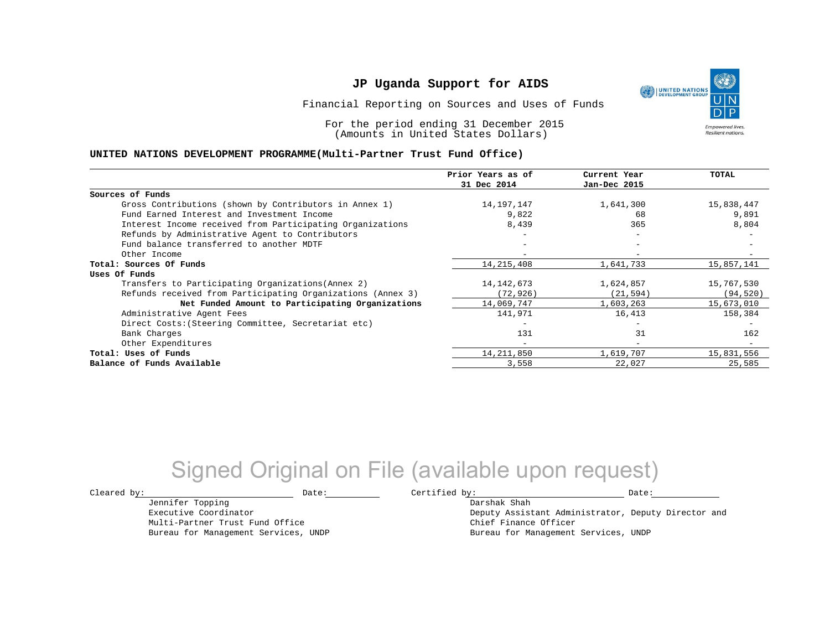Financial Reporting on Sources and Uses of Funds

For the period ending 31 December 2015 (Amounts in United States Dollars)

#### **UNITED NATIONS DEVELOPMENT PROGRAMME(Multi-Partner Trust Fund Office)**

|                                                             | Prior Years as of<br>31 Dec 2014 | Current Year<br>Jan-Dec 2015 | <b>TOTAL</b> |
|-------------------------------------------------------------|----------------------------------|------------------------------|--------------|
|                                                             |                                  |                              |              |
| Sources of Funds                                            |                                  |                              |              |
| Gross Contributions (shown by Contributors in Annex 1)      | 14,197,147                       | 1,641,300                    | 15,838,447   |
| Fund Earned Interest and Investment Income                  | 9,822                            | 68                           | 9,891        |
| Interest Income received from Participating Organizations   | 8,439                            | 365                          | 8,804        |
| Refunds by Administrative Agent to Contributors             |                                  | $\overline{\phantom{0}}$     |              |
| Fund balance transferred to another MDTF                    |                                  | $\overline{\phantom{0}}$     |              |
| Other Income                                                |                                  |                              |              |
| Total: Sources Of Funds                                     | 14, 215, 408                     | 1,641,733                    | 15,857,141   |
| Uses Of Funds                                               |                                  |                              |              |
| Transfers to Participating Organizations (Annex 2)          | 14, 142, 673                     | 1,624,857                    | 15,767,530   |
| Refunds received from Participating Organizations (Annex 3) | (72, 926)                        | (21, 594)                    | (94, 520)    |
| Net Funded Amount to Participating Organizations            | 14,069,747                       | 1,603,263                    | 15,673,010   |
| Administrative Agent Fees                                   | 141,971                          | 16,413                       | 158,384      |
| Direct Costs: (Steering Committee, Secretariat etc)         |                                  |                              |              |
| Bank Charges                                                | 131                              | 31                           | 162          |
| Other Expenditures                                          | $-$                              | $\overline{\phantom{0}}$     |              |
| Total: Uses of Funds                                        | 14, 211, 850                     | 1,619,707                    | 15,831,556   |
| Balance of Funds Available                                  | 3,558                            | 22,027                       | 25,585       |

## Signed Original on File (available upon request)

Jennifer Topping Executive Coordinator Multi-Partner Trust Fund Office Bureau for Management Services, UNDP

 $\texttt{Cleared by:}\footnotesize \begin{minipage}{0.9\linewidth} \texttt{Date:}\footnotesize \begin{minipage}{0.9\linewidth} \texttt{Date:}\footnotesize \begin{minipage}{0.9\linewidth} \end{minipage} \end{minipage}$ 

Darshak Shah Deputy Assistant Administrator, Deputy Director and Chief Finance Officer Bureau for Management Services, UNDP

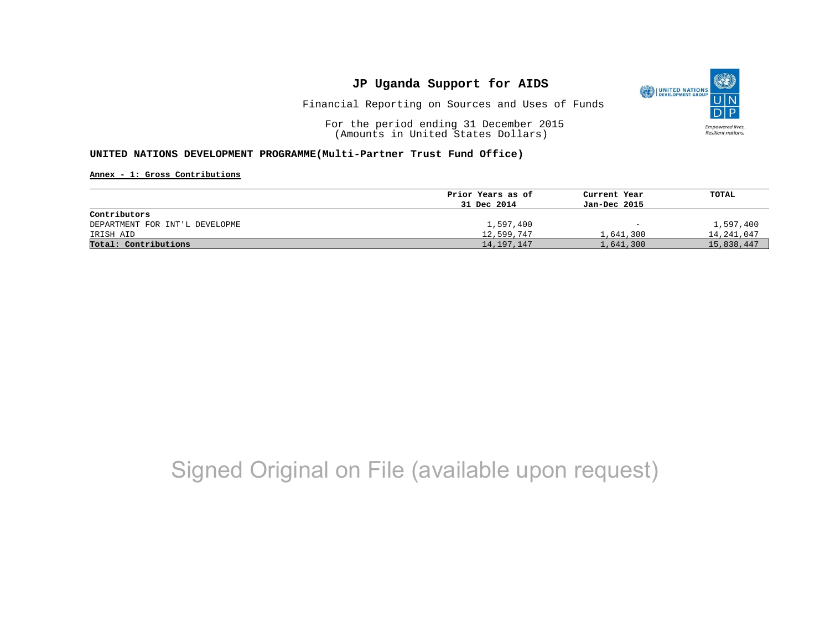

Financial Reporting on Sources and Uses of Funds

For the period ending 31 December 2015 (Amounts in United States Dollars)

#### **UNITED NATIONS DEVELOPMENT PROGRAMME(Multi-Partner Trust Fund Office)**

**Annex - 1: Gross Contributions**

|                                | Prior Years as of | Current Year             | TOTAL      |
|--------------------------------|-------------------|--------------------------|------------|
|                                | 31 Dec 2014       | Jan-Dec 2015             |            |
| Contributors                   |                   |                          |            |
| DEPARTMENT FOR INT'L DEVELOPME | 1,597,400         | $\overline{\phantom{0}}$ | 1,597,400  |
| IRISH AID                      | 12,599,747        | 1,641,300                | 14,241,047 |
| Total: Contributions           | 14, 197, 147      | 1,641,300                | 15,838,447 |

# Signed Original on File (available upon request)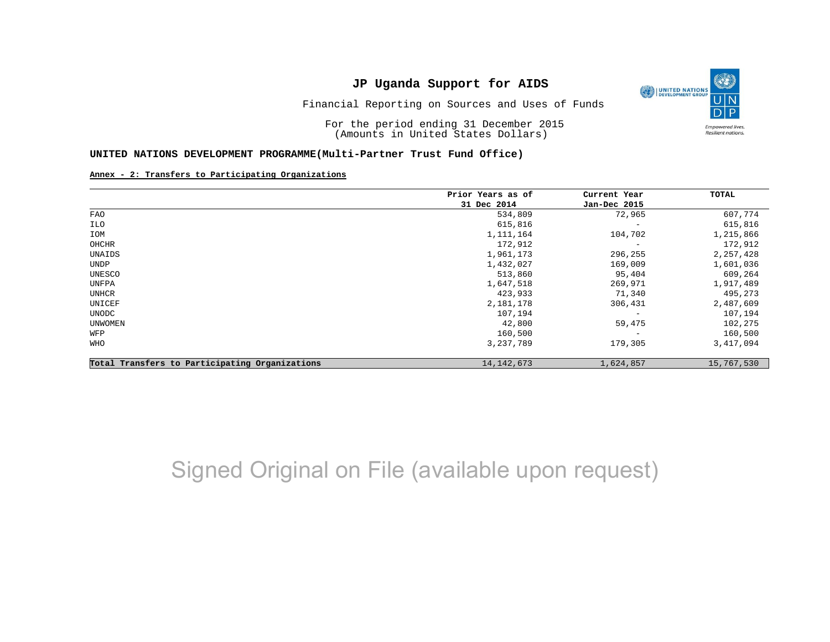

Financial Reporting on Sources and Uses of Funds

For the period ending 31 December 2015 (Amounts in United States Dollars)

#### **UNITED NATIONS DEVELOPMENT PROGRAMME(Multi-Partner Trust Fund Office)**

#### **Annex - 2: Transfers to Participating Organizations**

|                                                | Prior Years as of | Current Year<br>Jan-Dec 2015 | TOTAL      |
|------------------------------------------------|-------------------|------------------------------|------------|
|                                                | 31 Dec 2014       |                              |            |
| FAO                                            | 534,809           | 72,965                       | 607,774    |
| ILO                                            | 615,816           | $\overline{\phantom{m}}$     | 615,816    |
| IOM                                            | 1, 111, 164       | 104,702                      | 1,215,866  |
| OHCHR                                          | 172,912           | $\overline{\phantom{m}}$     | 172,912    |
| UNAIDS                                         | 1,961,173         | 296,255                      | 2,257,428  |
| UNDP                                           | 1,432,027         | 169,009                      | 1,601,036  |
| UNESCO                                         | 513,860           | 95,404                       | 609,264    |
| UNFPA                                          | 1,647,518         | 269,971                      | 1,917,489  |
| UNHCR                                          | 423,933           | 71,340                       | 495,273    |
| UNICEF                                         | 2,181,178         | 306,431                      | 2,487,609  |
| UNODC                                          | 107,194           | $\overline{\phantom{m}}$     | 107,194    |
| UNWOMEN                                        | 42,800            | 59,475                       | 102,275    |
| WFP                                            | 160,500           | $\overline{\phantom{m}}$     | 160,500    |
| WHO                                            | 3,237,789         | 179,305                      | 3,417,094  |
| Total Transfers to Participating Organizations | 14, 142, 673      | 1,624,857                    | 15,767,530 |

## Signed Original on File (available upon request)